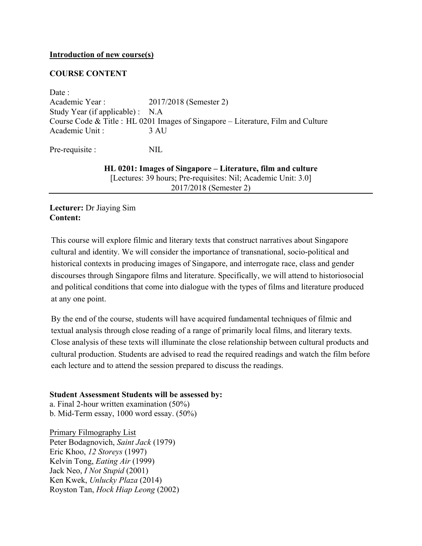## **Introduction of new course(s)**

## **COURSE CONTENT**

Date : Academic Year : 2017/2018 (Semester 2) Study Year (if applicable) : N.A Course Code & Title : HL 0201 Images of Singapore – Literature, Film and Culture Academic Unit : 3 AU

Pre-requisite : NIL

**HL 0201: Images of Singapore – Literature, film and culture** [Lectures: 39 hours; Pre-requisites: Nil; Academic Unit: 3.0] 2017/2018 (Semester 2)

**Lecturer:** Dr Jiaying Sim **Content:**

This course will explore filmic and literary texts that construct narratives about Singapore cultural and identity. We will consider the importance of transnational, socio-political and historical contexts in producing images of Singapore, and interrogate race, class and gender discourses through Singapore films and literature. Specifically, we will attend to historiosocial and political conditions that come into dialogue with the types of films and literature produced at any one point.

By the end of the course, students will have acquired fundamental techniques of filmic and textual analysis through close reading of a range of primarily local films, and literary texts. Close analysis of these texts will illuminate the close relationship between cultural products and cultural production. Students are advised to read the required readings and watch the film before each lecture and to attend the session prepared to discuss the readings.

## **Student Assessment Students will be assessed by:**

a. Final 2-hour written examination (50%) b. Mid-Term essay, 1000 word essay. (50%)

Primary Filmography List Peter Bodagnovich, *Saint Jack* (1979) Eric Khoo, *12 Storeys* (1997) Kelvin Tong, *Eating Air* (1999) Jack Neo, *I Not Stupid* (2001) Ken Kwek, *Unlucky Plaza* (2014) Royston Tan, *Hock Hiap Leong* (2002)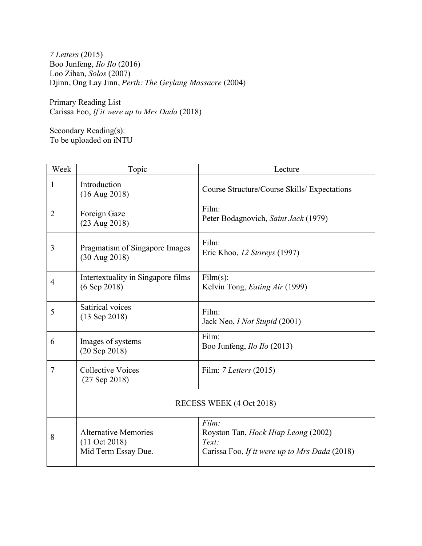*7 Letters* (2015) Boo Junfeng, *Ilo Ilo* (2016) Loo Zihan, *Solos* (2007) Djinn, Ong Lay Jinn, *Perth: The Geylang Massacre* (2004)

Primary Reading List Carissa Foo, *If it were up to Mrs Dada* (2018)

Secondary Reading(s): To be uploaded on iNTU

| Week           | Topic                                                                          | Lecture                                                                                                       |
|----------------|--------------------------------------------------------------------------------|---------------------------------------------------------------------------------------------------------------|
| 1              | Introduction<br>$(16$ Aug 2018)                                                | Course Structure/Course Skills/ Expectations                                                                  |
| $\overline{2}$ | Foreign Gaze<br>$(23 \text{ Aug } 2018)$                                       | Film:<br>Peter Bodagnovich, Saint Jack (1979)                                                                 |
| 3              | Pragmatism of Singapore Images<br>$(30 \text{ Aug } 2018)$                     | Film:<br>Eric Khoo, 12 Storeys (1997)                                                                         |
| 4              | Intertextuality in Singapore films<br>$(6$ Sep 2018)                           | Film(s):<br>Kelvin Tong, <i>Eating Air</i> (1999)                                                             |
| 5              | Satirical voices<br>$(13$ Sep 2018)                                            | Film:<br>Jack Neo, <i>I Not Stupid</i> (2001)                                                                 |
| 6              | Images of systems<br>$(20$ Sep $2018)$                                         | Film:<br>Boo Junfeng, <i>Ilo Ilo</i> (2013)                                                                   |
| 7              | <b>Collective Voices</b><br>$(27$ Sep 2018)                                    | Film: $7 \text{ Letters} (2015)$                                                                              |
|                | RECESS WEEK (4 Oct 2018)                                                       |                                                                                                               |
| 8              | <b>Alternative Memories</b><br>$(11 \text{ Oct } 2018)$<br>Mid Term Essay Due. | Film:<br>Royston Tan, <i>Hock Hiap Leong</i> (2002)<br>Text:<br>Carissa Foo, If it were up to Mrs Dada (2018) |